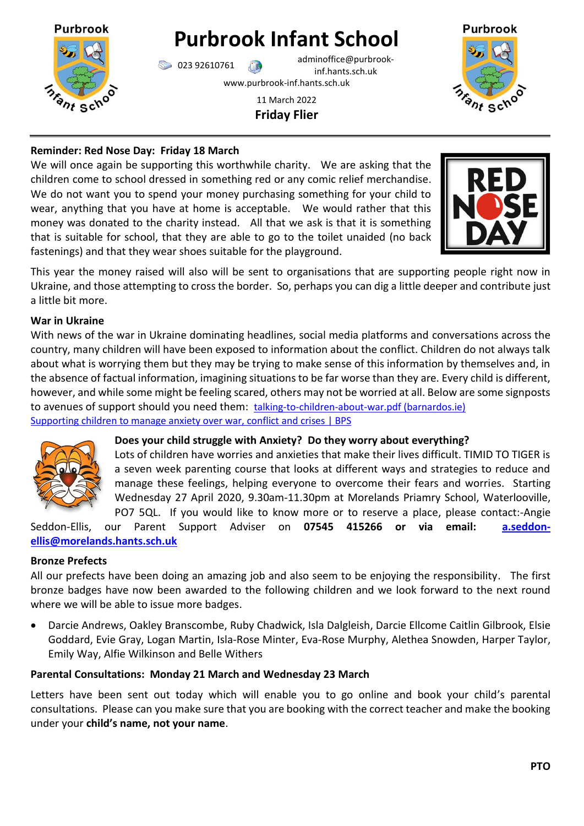

**Purbrook** 

# **Purbrook Infant School**

023 92610761 adminoffice@purbrookinf.hants.sch.uk www.purbrook-inf.hants.sch.uk

> 11 March 2022 **Friday Flier**



# **Reminder: Red Nose Day: Friday 18 March**

We will once again be supporting this worthwhile charity. We are asking that the children come to school dressed in something red or any comic relief merchandise. We do not want you to spend your money purchasing something for your child to wear, anything that you have at home is acceptable. We would rather that this money was donated to the charity instead. All that we ask is that it is something that is suitable for school, that they are able to go to the toilet unaided (no back fastenings) and that they wear shoes suitable for the playground.



This year the money raised will also will be sent to organisations that are supporting people right now in Ukraine, and those attempting to cross the border. So, perhaps you can dig a little deeper and contribute just a little bit more.

## **War in Ukraine**

With news of the war in Ukraine dominating headlines, social media platforms and conversations across the country, many children will have been exposed to information about the conflict. Children do not always talk about what is worrying them but they may be trying to make sense of this information by themselves and, in the absence of factual information, imagining situations to be far worse than they are. Every child is different, however, and while some might be feeling scared, others may not be worried at all. Below are some signposts to avenues of support should you need them: [talking-to-children-about-war.pdf](https://www.barnardos.ie/media/14835/talking-to-children-about-war.pdf) (barnardos.ie) [Supporting](https://www.bps.org.uk/news-and-policy/supporting-children-manage-anxiety-over-war-conflict-and-crises) children to manage anxiety over war, conflict and crises | BPS



## **Does your child struggle with Anxiety? Do they worry about everything?**

Lots of children have worries and anxieties that make their lives difficult. TIMID TO TIGER is a seven week parenting course that looks at different ways and strategies to reduce and manage these feelings, helping everyone to overcome their fears and worries. Starting Wednesday 27 April 2020, 9.30am-11.30pm at Morelands Priamry School, Waterlooville, PO7 5QL. If you would like to know more or to reserve a place, please contact:-Angie

Seddon-Ellis, our Parent Support Adviser on **07545 415266 or via email: [a.seddon](mailto:a.seddon-ellis@morelands.hants.sch.uk)[ellis@morelands.hants.sch.uk](mailto:a.seddon-ellis@morelands.hants.sch.uk)**

## **Bronze Prefects**

All our prefects have been doing an amazing job and also seem to be enjoying the responsibility. The first bronze badges have now been awarded to the following children and we look forward to the next round where we will be able to issue more badges.

 Darcie Andrews, Oakley Branscombe, Ruby Chadwick, Isla Dalgleish, Darcie Ellcome Caitlin Gilbrook, Elsie Goddard, Evie Gray, Logan Martin, Isla-Rose Minter, Eva-Rose Murphy, Alethea Snowden, Harper Taylor, Emily Way, Alfie Wilkinson and Belle Withers

## **Parental Consultations: Monday 21 March and Wednesday 23 March**

Letters have been sent out today which will enable you to go online and book your child's parental consultations. Please can you make sure that you are booking with the correct teacher and make the booking under your **child's name, not your name**.